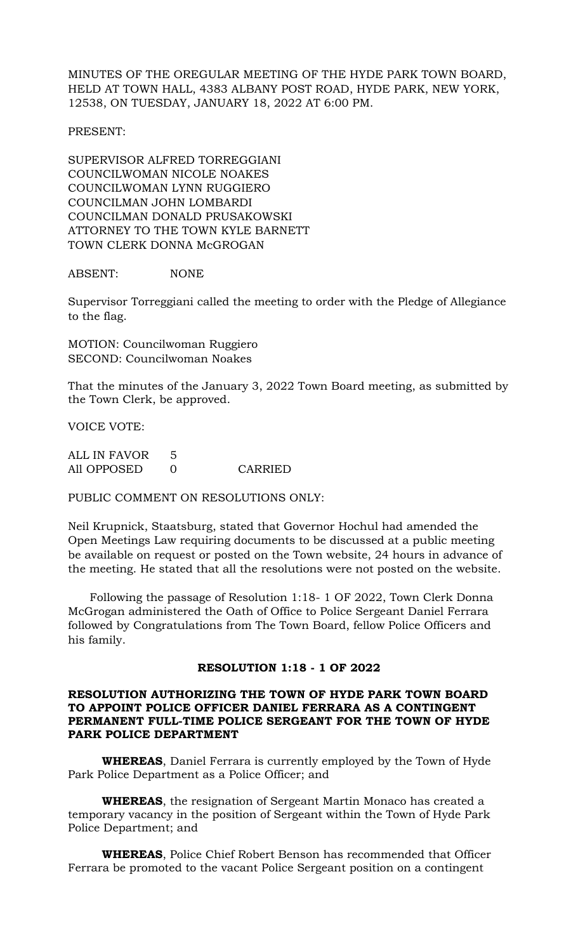MINUTES OF THE OREGULAR MEETING OF THE HYDE PARK TOWN BOARD, HELD AT TOWN HALL, 4383 ALBANY POST ROAD, HYDE PARK, NEW YORK, 12538, ON TUESDAY, JANUARY 18, 2022 AT 6:00 PM.

PRESENT:

SUPERVISOR ALFRED TORREGGIANI COUNCILWOMAN NICOLE NOAKES COUNCILWOMAN LYNN RUGGIERO COUNCILMAN JOHN LOMBARDI COUNCILMAN DONALD PRUSAKOWSKI ATTORNEY TO THE TOWN KYLE BARNETT TOWN CLERK DONNA McGROGAN

ABSENT: NONE

Supervisor Torreggiani called the meeting to order with the Pledge of Allegiance to the flag.

MOTION: Councilwoman Ruggiero SECOND: Councilwoman Noakes

That the minutes of the January 3, 2022 Town Board meeting, as submitted by the Town Clerk, be approved.

VOICE VOTE:

ALL IN FAVOR 5<br>All OPPOSED 0 All OPPOSED 0 CARRIED

PUBLIC COMMENT ON RESOLUTIONS ONLY:

Neil Krupnick, Staatsburg, stated that Governor Hochul had amended the Open Meetings Law requiring documents to be discussed at a public meeting be available on request or posted on the Town website, 24 hours in advance of the meeting. He stated that all the resolutions were not posted on the website.

 Following the passage of Resolution 1:18- 1 OF 2022, Town Clerk Donna McGrogan administered the Oath of Office to Police Sergeant Daniel Ferrara followed by Congratulations from The Town Board, fellow Police Officers and his family.

**RESOLUTION 1:18 - 1 OF 2022**

## **RESOLUTION AUTHORIZING THE TOWN OF HYDE PARK TOWN BOARD TO APPOINT POLICE OFFICER DANIEL FERRARA AS A CONTINGENT PERMANENT FULL-TIME POLICE SERGEANT FOR THE TOWN OF HYDE PARK POLICE DEPARTMENT**

**WHEREAS**, Daniel Ferrara is currently employed by the Town of Hyde Park Police Department as a Police Officer; and

**WHEREAS**, the resignation of Sergeant Martin Monaco has created a temporary vacancy in the position of Sergeant within the Town of Hyde Park Police Department; and

**WHEREAS**, Police Chief Robert Benson has recommended that Officer Ferrara be promoted to the vacant Police Sergeant position on a contingent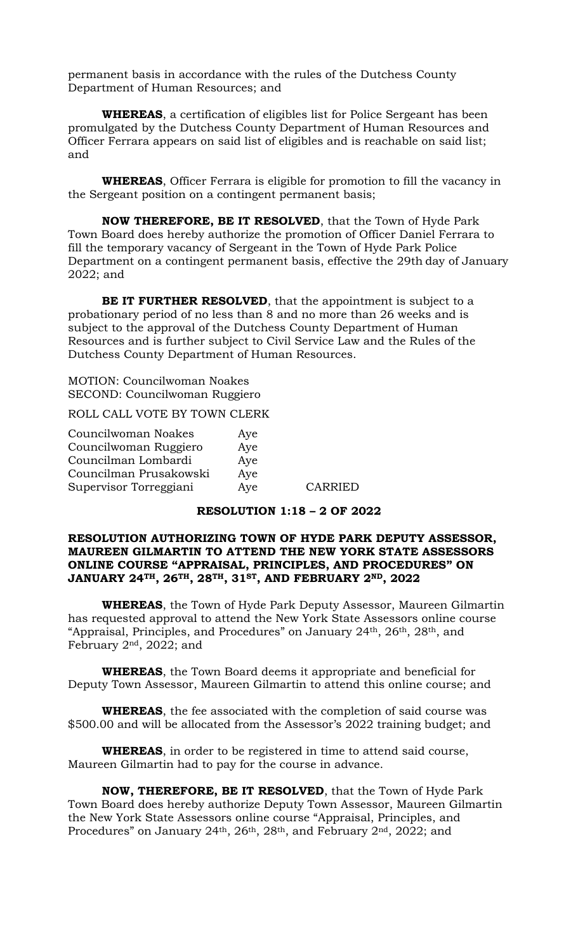permanent basis in accordance with the rules of the Dutchess County Department of Human Resources; and

**WHEREAS**, a certification of eligibles list for Police Sergeant has been promulgated by the Dutchess County Department of Human Resources and Officer Ferrara appears on said list of eligibles and is reachable on said list; and

**WHEREAS**, Officer Ferrara is eligible for promotion to fill the vacancy in the Sergeant position on a contingent permanent basis;

**NOW THEREFORE, BE IT RESOLVED**, that the Town of Hyde Park Town Board does hereby authorize the promotion of Officer Daniel Ferrara to fill the temporary vacancy of Sergeant in the Town of Hyde Park Police Department on a contingent permanent basis, effective the 29th day of January 2022; and

**BE IT FURTHER RESOLVED**, that the appointment is subject to a probationary period of no less than 8 and no more than 26 weeks and is subject to the approval of the Dutchess County Department of Human Resources and is further subject to Civil Service Law and the Rules of the Dutchess County Department of Human Resources.

MOTION: Councilwoman Noakes SECOND: Councilwoman Ruggiero

ROLL CALL VOTE BY TOWN CLERK

| Councilwoman Noakes    | Aye |         |
|------------------------|-----|---------|
| Councilwoman Ruggiero  | Aye |         |
| Councilman Lombardi    | Aye |         |
| Councilman Prusakowski | Aye |         |
| Supervisor Torreggiani | Aye | CARRIED |

## **RESOLUTION 1:18 – 2 OF 2022**

## **RESOLUTION AUTHORIZING TOWN OF HYDE PARK DEPUTY ASSESSOR, MAUREEN GILMARTIN TO ATTEND THE NEW YORK STATE ASSESSORS ONLINE COURSE "APPRAISAL, PRINCIPLES, AND PROCEDURES" ON JANUARY 24TH, 26TH, 28TH, 31ST, AND FEBRUARY 2ND, 2022**

**WHEREAS**, the Town of Hyde Park Deputy Assessor, Maureen Gilmartin has requested approval to attend the New York State Assessors online course "Appraisal, Principles, and Procedures" on January 24<sup>th</sup>, 26<sup>th</sup>, 28<sup>th</sup>, and February 2nd, 2022; and

**WHEREAS**, the Town Board deems it appropriate and beneficial for Deputy Town Assessor, Maureen Gilmartin to attend this online course; and

**WHEREAS**, the fee associated with the completion of said course was \$500.00 and will be allocated from the Assessor's 2022 training budget; and

**WHEREAS**, in order to be registered in time to attend said course, Maureen Gilmartin had to pay for the course in advance.

**NOW, THEREFORE, BE IT RESOLVED**, that the Town of Hyde Park Town Board does hereby authorize Deputy Town Assessor, Maureen Gilmartin the New York State Assessors online course "Appraisal, Principles, and Procedures" on January 24<sup>th</sup>, 26<sup>th</sup>, 28<sup>th</sup>, and February 2<sup>nd</sup>, 2022; and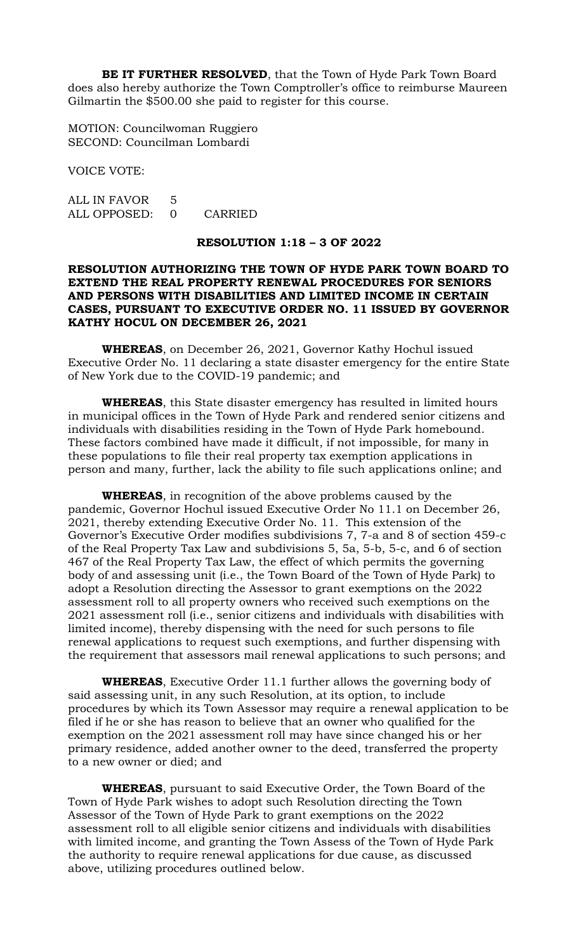**BE IT FURTHER RESOLVED**, that the Town of Hyde Park Town Board does also hereby authorize the Town Comptroller's office to reimburse Maureen Gilmartin the \$500.00 she paid to register for this course.

MOTION: Councilwoman Ruggiero SECOND: Councilman Lombardi

VOICE VOTE:

ALL IN FAVOR 5 ALL OPPOSED: 0 CARRIED

# **RESOLUTION 1:18 – 3 OF 2022**

## **RESOLUTION AUTHORIZING THE TOWN OF HYDE PARK TOWN BOARD TO EXTEND THE REAL PROPERTY RENEWAL PROCEDURES FOR SENIORS AND PERSONS WITH DISABILITIES AND LIMITED INCOME IN CERTAIN CASES, PURSUANT TO EXECUTIVE ORDER NO. 11 ISSUED BY GOVERNOR KATHY HOCUL ON DECEMBER 26, 2021**

**WHEREAS**, on December 26, 2021, Governor Kathy Hochul issued Executive Order No. 11 declaring a state disaster emergency for the entire State of New York due to the COVID-19 pandemic; and

**WHEREAS**, this State disaster emergency has resulted in limited hours in municipal offices in the Town of Hyde Park and rendered senior citizens and individuals with disabilities residing in the Town of Hyde Park homebound. These factors combined have made it difficult, if not impossible, for many in these populations to file their real property tax exemption applications in person and many, further, lack the ability to file such applications online; and

**WHEREAS**, in recognition of the above problems caused by the pandemic, Governor Hochul issued Executive Order No 11.1 on December 26, 2021, thereby extending Executive Order No. 11. This extension of the Governor's Executive Order modifies subdivisions 7, 7-a and 8 of section 459-c of the Real Property Tax Law and subdivisions 5, 5a, 5-b, 5-c, and 6 of section 467 of the Real Property Tax Law, the effect of which permits the governing body of and assessing unit (i.e., the Town Board of the Town of Hyde Park) to adopt a Resolution directing the Assessor to grant exemptions on the 2022 assessment roll to all property owners who received such exemptions on the 2021 assessment roll (i.e., senior citizens and individuals with disabilities with limited income), thereby dispensing with the need for such persons to file renewal applications to request such exemptions, and further dispensing with the requirement that assessors mail renewal applications to such persons; and

**WHEREAS**, Executive Order 11.1 further allows the governing body of said assessing unit, in any such Resolution, at its option, to include procedures by which its Town Assessor may require a renewal application to be filed if he or she has reason to believe that an owner who qualified for the exemption on the 2021 assessment roll may have since changed his or her primary residence, added another owner to the deed, transferred the property to a new owner or died; and

**WHEREAS**, pursuant to said Executive Order, the Town Board of the Town of Hyde Park wishes to adopt such Resolution directing the Town Assessor of the Town of Hyde Park to grant exemptions on the 2022 assessment roll to all eligible senior citizens and individuals with disabilities with limited income, and granting the Town Assess of the Town of Hyde Park the authority to require renewal applications for due cause, as discussed above, utilizing procedures outlined below.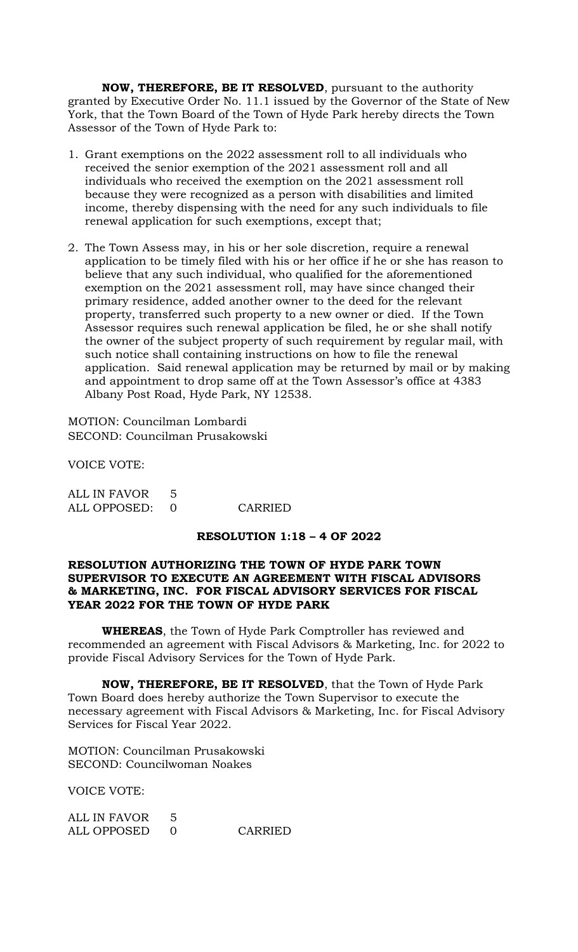**NOW, THEREFORE, BE IT RESOLVED**, pursuant to the authority granted by Executive Order No. 11.1 issued by the Governor of the State of New York, that the Town Board of the Town of Hyde Park hereby directs the Town Assessor of the Town of Hyde Park to:

- 1. Grant exemptions on the 2022 assessment roll to all individuals who received the senior exemption of the 2021 assessment roll and all individuals who received the exemption on the 2021 assessment roll because they were recognized as a person with disabilities and limited income, thereby dispensing with the need for any such individuals to file renewal application for such exemptions, except that;
- 2. The Town Assess may, in his or her sole discretion, require a renewal application to be timely filed with his or her office if he or she has reason to believe that any such individual, who qualified for the aforementioned exemption on the 2021 assessment roll, may have since changed their primary residence, added another owner to the deed for the relevant property, transferred such property to a new owner or died. If the Town Assessor requires such renewal application be filed, he or she shall notify the owner of the subject property of such requirement by regular mail, with such notice shall containing instructions on how to file the renewal application. Said renewal application may be returned by mail or by making and appointment to drop same off at the Town Assessor's office at 4383 Albany Post Road, Hyde Park, NY 12538.

MOTION: Councilman Lombardi SECOND: Councilman Prusakowski

VOICE VOTE:

| ALL IN FAVOR 5 |         |
|----------------|---------|
| ALL OPPOSED: 0 | CARRIED |

## **RESOLUTION 1:18 – 4 OF 2022**

## **RESOLUTION AUTHORIZING THE TOWN OF HYDE PARK TOWN SUPERVISOR TO EXECUTE AN AGREEMENT WITH FISCAL ADVISORS & MARKETING, INC. FOR FISCAL ADVISORY SERVICES FOR FISCAL YEAR 2022 FOR THE TOWN OF HYDE PARK**

**WHEREAS**, the Town of Hyde Park Comptroller has reviewed and recommended an agreement with Fiscal Advisors & Marketing, Inc. for 2022 to provide Fiscal Advisory Services for the Town of Hyde Park.

**NOW, THEREFORE, BE IT RESOLVED**, that the Town of Hyde Park Town Board does hereby authorize the Town Supervisor to execute the necessary agreement with Fiscal Advisors & Marketing, Inc. for Fiscal Advisory Services for Fiscal Year 2022.

MOTION: Councilman Prusakowski SECOND: Councilwoman Noakes

VOICE VOTE:

| ALL IN FAVOR |         |
|--------------|---------|
| ALL OPPOSED  | CARRIED |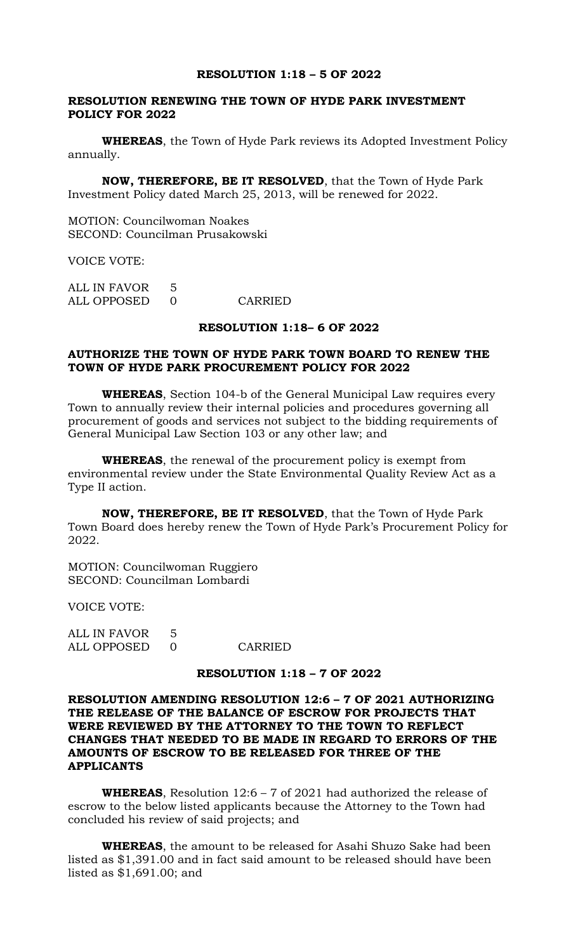#### **RESOLUTION 1:18 – 5 OF 2022**

## **RESOLUTION RENEWING THE TOWN OF HYDE PARK INVESTMENT POLICY FOR 2022**

**WHEREAS**, the Town of Hyde Park reviews its Adopted Investment Policy annually.

**NOW, THEREFORE, BE IT RESOLVED**, that the Town of Hyde Park Investment Policy dated March 25, 2013, will be renewed for 2022.

MOTION: Councilwoman Noakes SECOND: Councilman Prusakowski

VOICE VOTE:

ALL IN FAVOR 5 ALL OPPOSED 0 CARRIED

#### **RESOLUTION 1:18– 6 OF 2022**

## **AUTHORIZE THE TOWN OF HYDE PARK TOWN BOARD TO RENEW THE TOWN OF HYDE PARK PROCUREMENT POLICY FOR 2022**

**WHEREAS**, Section 104-b of the General Municipal Law requires every Town to annually review their internal policies and procedures governing all procurement of goods and services not subject to the bidding requirements of General Municipal Law Section 103 or any other law; and

**WHEREAS**, the renewal of the procurement policy is exempt from environmental review under the State Environmental Quality Review Act as a Type II action.

**NOW, THEREFORE, BE IT RESOLVED**, that the Town of Hyde Park Town Board does hereby renew the Town of Hyde Park's Procurement Policy for 2022.

MOTION: Councilwoman Ruggiero SECOND: Councilman Lombardi

VOICE VOTE:

ALL IN FAVOR 5 ALL OPPOSED 0 CARRIED

#### **RESOLUTION 1:18 – 7 OF 2022**

## **RESOLUTION AMENDING RESOLUTION 12:6 – 7 OF 2021 AUTHORIZING THE RELEASE OF THE BALANCE OF ESCROW FOR PROJECTS THAT WERE REVIEWED BY THE ATTORNEY TO THE TOWN TO REFLECT CHANGES THAT NEEDED TO BE MADE IN REGARD TO ERRORS OF THE AMOUNTS OF ESCROW TO BE RELEASED FOR THREE OF THE APPLICANTS**

**WHEREAS**, Resolution 12:6 – 7 of 2021 had authorized the release of escrow to the below listed applicants because the Attorney to the Town had concluded his review of said projects; and

**WHEREAS**, the amount to be released for Asahi Shuzo Sake had been listed as \$1,391.00 and in fact said amount to be released should have been listed as \$1,691.00; and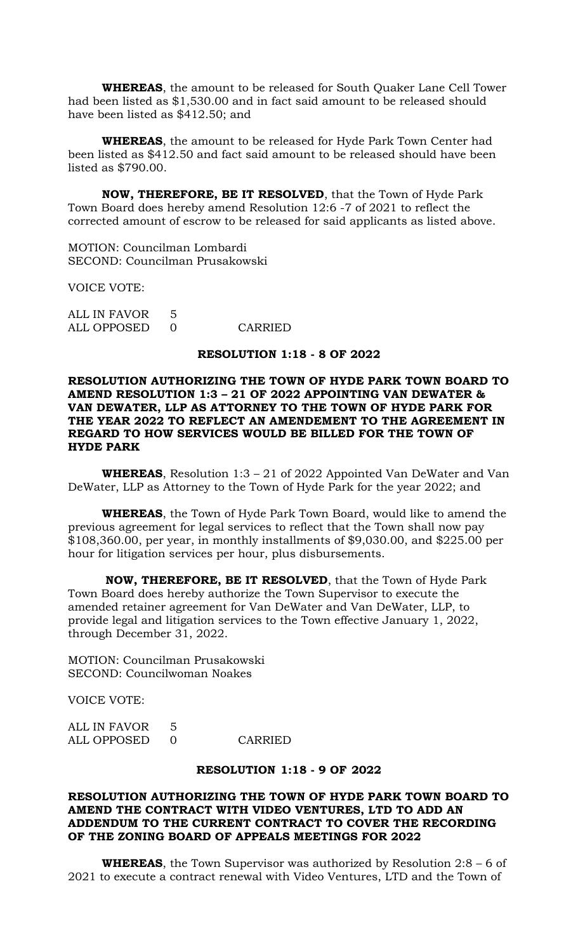**WHEREAS**, the amount to be released for South Quaker Lane Cell Tower had been listed as \$1,530.00 and in fact said amount to be released should have been listed as \$412.50; and

**WHEREAS**, the amount to be released for Hyde Park Town Center had been listed as \$412.50 and fact said amount to be released should have been listed as \$790.00.

**NOW, THEREFORE, BE IT RESOLVED**, that the Town of Hyde Park Town Board does hereby amend Resolution 12:6 -7 of 2021 to reflect the corrected amount of escrow to be released for said applicants as listed above.

MOTION: Councilman Lombardi SECOND: Councilman Prusakowski

VOICE VOTE:

| ALL IN FAVOR |         |
|--------------|---------|
| ALL OPPOSED  | CARRIED |

## **RESOLUTION 1:18 - 8 OF 2022**

**RESOLUTION AUTHORIZING THE TOWN OF HYDE PARK TOWN BOARD TO AMEND RESOLUTION 1:3 – 21 OF 2022 APPOINTING VAN DEWATER & VAN DEWATER, LLP AS ATTORNEY TO THE TOWN OF HYDE PARK FOR THE YEAR 2022 TO REFLECT AN AMENDEMENT TO THE AGREEMENT IN REGARD TO HOW SERVICES WOULD BE BILLED FOR THE TOWN OF HYDE PARK**

**WHEREAS**, Resolution 1:3 – 21 of 2022 Appointed Van DeWater and Van DeWater, LLP as Attorney to the Town of Hyde Park for the year 2022; and

**WHEREAS**, the Town of Hyde Park Town Board, would like to amend the previous agreement for legal services to reflect that the Town shall now pay \$108,360.00, per year, in monthly installments of \$9,030.00, and \$225.00 per hour for litigation services per hour, plus disbursements.

**NOW, THEREFORE, BE IT RESOLVED**, that the Town of Hyde Park Town Board does hereby authorize the Town Supervisor to execute the amended retainer agreement for Van DeWater and Van DeWater, LLP, to provide legal and litigation services to the Town effective January 1, 2022, through December 31, 2022.

MOTION: Councilman Prusakowski SECOND: Councilwoman Noakes

VOICE VOTE:

| ALL IN FAVOR 5 |         |
|----------------|---------|
| ALL OPPOSED    | CARRIED |

## **RESOLUTION 1:18 - 9 OF 2022**

# **RESOLUTION AUTHORIZING THE TOWN OF HYDE PARK TOWN BOARD TO AMEND THE CONTRACT WITH VIDEO VENTURES, LTD TO ADD AN ADDENDUM TO THE CURRENT CONTRACT TO COVER THE RECORDING OF THE ZONING BOARD OF APPEALS MEETINGS FOR 2022**

**WHEREAS**, the Town Supervisor was authorized by Resolution 2:8 – 6 of 2021 to execute a contract renewal with Video Ventures, LTD and the Town of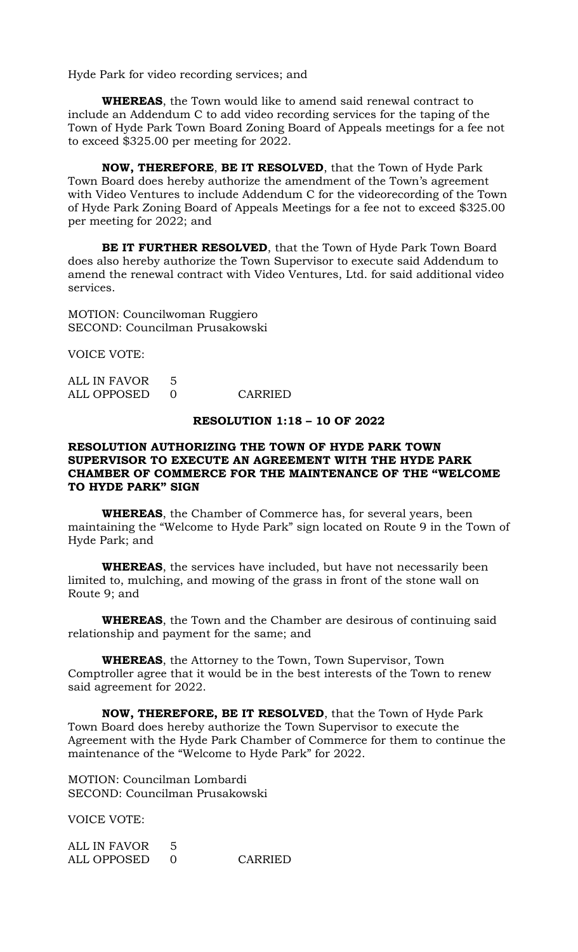Hyde Park for video recording services; and

**WHEREAS**, the Town would like to amend said renewal contract to include an Addendum C to add video recording services for the taping of the Town of Hyde Park Town Board Zoning Board of Appeals meetings for a fee not to exceed \$325.00 per meeting for 2022.

**NOW, THEREFORE**, **BE IT RESOLVED**, that the Town of Hyde Park Town Board does hereby authorize the amendment of the Town's agreement with Video Ventures to include Addendum C for the videorecording of the Town of Hyde Park Zoning Board of Appeals Meetings for a fee not to exceed \$325.00 per meeting for 2022; and

**BE IT FURTHER RESOLVED**, that the Town of Hyde Park Town Board does also hereby authorize the Town Supervisor to execute said Addendum to amend the renewal contract with Video Ventures, Ltd. for said additional video services.

MOTION: Councilwoman Ruggiero SECOND: Councilman Prusakowski

VOICE VOTE:

ALL IN FAVOR 5 ALL OPPOSED 0 CARRIED

## **RESOLUTION 1:18 – 10 OF 2022**

## **RESOLUTION AUTHORIZING THE TOWN OF HYDE PARK TOWN SUPERVISOR TO EXECUTE AN AGREEMENT WITH THE HYDE PARK CHAMBER OF COMMERCE FOR THE MAINTENANCE OF THE "WELCOME TO HYDE PARK" SIGN**

**WHEREAS**, the Chamber of Commerce has, for several years, been maintaining the "Welcome to Hyde Park" sign located on Route 9 in the Town of Hyde Park; and

**WHEREAS**, the services have included, but have not necessarily been limited to, mulching, and mowing of the grass in front of the stone wall on Route 9; and

**WHEREAS**, the Town and the Chamber are desirous of continuing said relationship and payment for the same; and

**WHEREAS**, the Attorney to the Town, Town Supervisor, Town Comptroller agree that it would be in the best interests of the Town to renew said agreement for 2022.

**NOW, THEREFORE, BE IT RESOLVED**, that the Town of Hyde Park Town Board does hereby authorize the Town Supervisor to execute the Agreement with the Hyde Park Chamber of Commerce for them to continue the maintenance of the "Welcome to Hyde Park" for 2022.

MOTION: Councilman Lombardi SECOND: Councilman Prusakowski

VOICE VOTE:

| ALL IN FAVOR |         |
|--------------|---------|
| ALL OPPOSED  | CARRIED |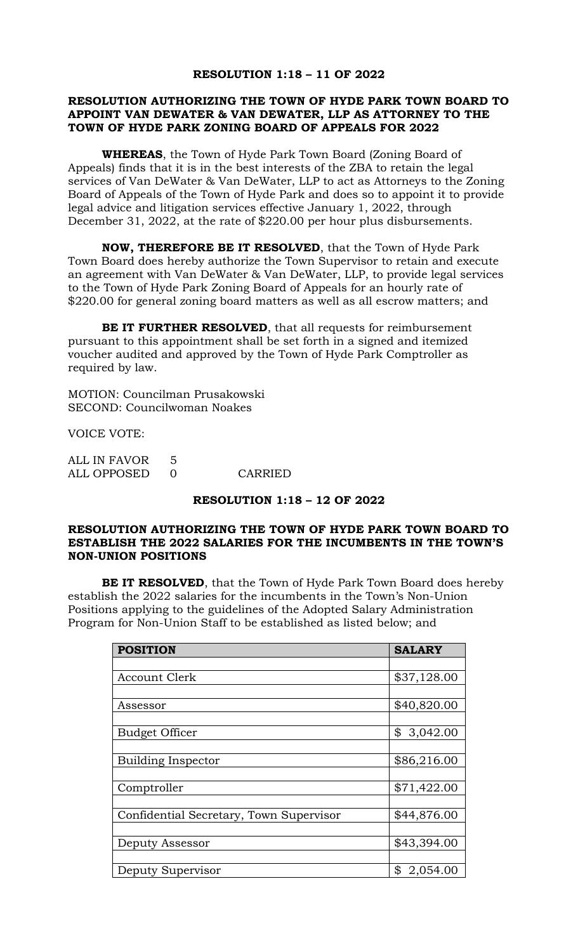## **RESOLUTION 1:18 – 11 OF 2022**

## **RESOLUTION AUTHORIZING THE TOWN OF HYDE PARK TOWN BOARD TO APPOINT VAN DEWATER & VAN DEWATER, LLP AS ATTORNEY TO THE TOWN OF HYDE PARK ZONING BOARD OF APPEALS FOR 2022**

**WHEREAS**, the Town of Hyde Park Town Board (Zoning Board of Appeals) finds that it is in the best interests of the ZBA to retain the legal services of Van DeWater & Van DeWater, LLP to act as Attorneys to the Zoning Board of Appeals of the Town of Hyde Park and does so to appoint it to provide legal advice and litigation services effective January 1, 2022, through December 31, 2022, at the rate of \$220.00 per hour plus disbursements.

**NOW, THEREFORE BE IT RESOLVED**, that the Town of Hyde Park Town Board does hereby authorize the Town Supervisor to retain and execute an agreement with Van DeWater & Van DeWater, LLP, to provide legal services to the Town of Hyde Park Zoning Board of Appeals for an hourly rate of \$220.00 for general zoning board matters as well as all escrow matters; and

**BE IT FURTHER RESOLVED**, that all requests for reimbursement pursuant to this appointment shall be set forth in a signed and itemized voucher audited and approved by the Town of Hyde Park Comptroller as required by law.

MOTION: Councilman Prusakowski SECOND: Councilwoman Noakes

VOICE VOTE:

| ALL IN FAVOR |         |
|--------------|---------|
| ALL OPPOSED  | CARRIED |

# **RESOLUTION 1:18 – 12 OF 2022**

#### **RESOLUTION AUTHORIZING THE TOWN OF HYDE PARK TOWN BOARD TO ESTABLISH THE 2022 SALARIES FOR THE INCUMBENTS IN THE TOWN'S NON-UNION POSITIONS**

**BE IT RESOLVED**, that the Town of Hyde Park Town Board does hereby establish the 2022 salaries for the incumbents in the Town's Non-Union Positions applying to the guidelines of the Adopted Salary Administration Program for Non-Union Staff to be established as listed below; and

| <b>POSITION</b>                         | <b>SALARY</b>  |
|-----------------------------------------|----------------|
|                                         |                |
| <b>Account Clerk</b>                    | \$37,128.00    |
|                                         |                |
| Assessor                                | \$40,820.00    |
|                                         |                |
| <b>Budget Officer</b>                   | \$<br>3,042.00 |
|                                         |                |
| <b>Building Inspector</b>               | \$86,216.00    |
|                                         |                |
| Comptroller                             | \$71,422.00    |
|                                         |                |
| Confidential Secretary, Town Supervisor | \$44,876.00    |
|                                         |                |
| Deputy Assessor                         | \$43,394.00    |
|                                         |                |
| Deputy Supervisor                       | \$<br>2,054.00 |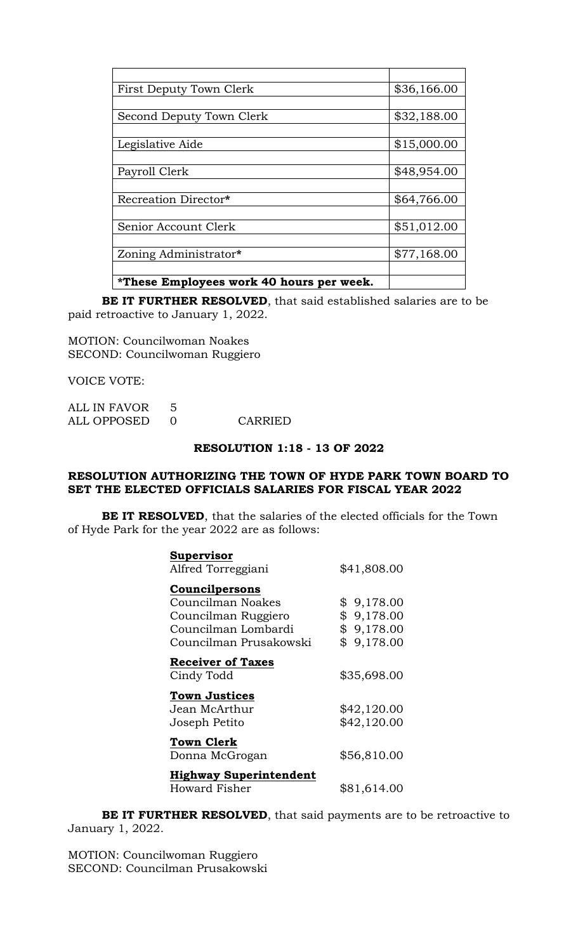| First Deputy Town Clerk                  | \$36,166.00 |
|------------------------------------------|-------------|
|                                          |             |
| Second Deputy Town Clerk                 | \$32,188.00 |
|                                          |             |
| Legislative Aide                         | \$15,000.00 |
|                                          |             |
| Payroll Clerk                            | \$48,954.00 |
|                                          |             |
| Recreation Director*                     | \$64,766.00 |
|                                          |             |
| Senior Account Clerk                     | \$51,012.00 |
|                                          |             |
| Zoning Administrator*                    | \$77,168.00 |
|                                          |             |
| *These Employees work 40 hours per week. |             |

**BE IT FURTHER RESOLVED**, that said established salaries are to be paid retroactive to January 1, 2022.

MOTION: Councilwoman Noakes SECOND: Councilwoman Ruggiero

VOICE VOTE:

| ALL IN FAVOR |         |
|--------------|---------|
| ALL OPPOSED  | CARRIED |

# **RESOLUTION 1:18 - 13 OF 2022**

#### **RESOLUTION AUTHORIZING THE TOWN OF HYDE PARK TOWN BOARD TO SET THE ELECTED OFFICIALS SALARIES FOR FISCAL YEAR 2022**

**BE IT RESOLVED**, that the salaries of the elected officials for the Town of Hyde Park for the year 2022 are as follows:

| Supervisor                    |                |
|-------------------------------|----------------|
| Alfred Torreggiani            | \$41,808.00    |
| Councilpersons                |                |
| Councilman Noakes             | 9,178.00<br>\$ |
| Councilman Ruggiero           | \$<br>9,178.00 |
| Councilman Lombardi           | \$9,178.00     |
| Councilman Prusakowski        | \$<br>9,178.00 |
| <b>Receiver of Taxes</b>      |                |
| Cindy Todd                    | \$35,698.00    |
| <b>Town Justices</b>          |                |
| Jean McArthur                 | \$42,120.00    |
| Joseph Petito                 | \$42,120.00    |
| Town Clerk                    |                |
| Donna McGrogan                | \$56,810.00    |
| <b>Highway Superintendent</b> |                |
| Howard Fisher                 | \$81,614.00    |

**BE IT FURTHER RESOLVED**, that said payments are to be retroactive to January 1, 2022.

MOTION: Councilwoman Ruggiero SECOND: Councilman Prusakowski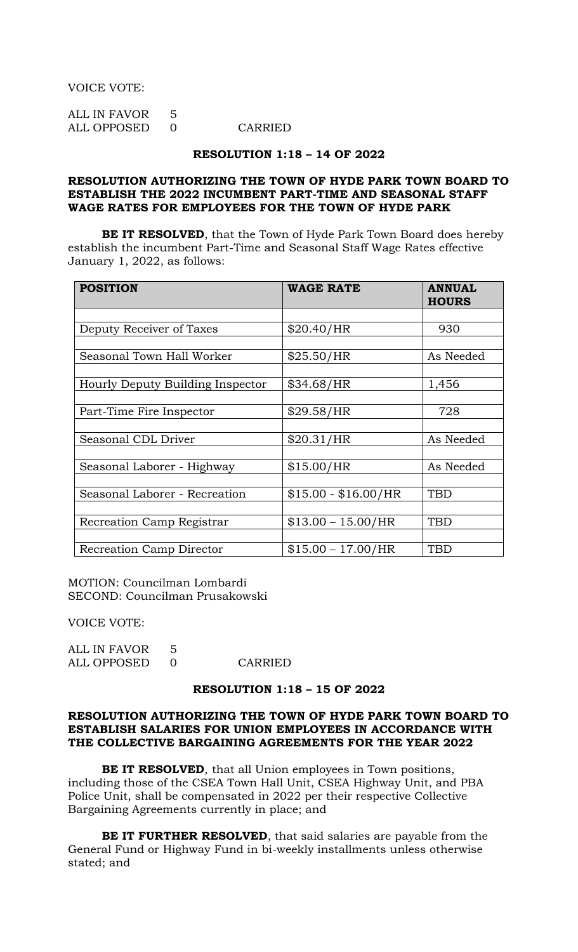VOICE VOTE:

| ALL IN FAVOR |         |
|--------------|---------|
| ALL OPPOSED  | CARRIED |

#### **RESOLUTION 1:18 – 14 OF 2022**

## **RESOLUTION AUTHORIZING THE TOWN OF HYDE PARK TOWN BOARD TO ESTABLISH THE 2022 INCUMBENT PART-TIME AND SEASONAL STAFF WAGE RATES FOR EMPLOYEES FOR THE TOWN OF HYDE PARK**

**BE IT RESOLVED**, that the Town of Hyde Park Town Board does hereby establish the incumbent Part-Time and Seasonal Staff Wage Rates effective January 1, 2022, as follows:

| <b>POSITION</b>                  | <b>WAGE RATE</b>       | <b>ANNUAL</b><br><b>HOURS</b> |
|----------------------------------|------------------------|-------------------------------|
|                                  |                        |                               |
| Deputy Receiver of Taxes         | \$20.40/HR             | 930                           |
|                                  |                        |                               |
| Seasonal Town Hall Worker        | \$25.50/HR             | As Needed                     |
|                                  |                        |                               |
| Hourly Deputy Building Inspector | \$34.68/HR             | 1,456                         |
|                                  |                        |                               |
| Part-Time Fire Inspector         | \$29.58/HR             | 728                           |
|                                  |                        |                               |
| Seasonal CDL Driver              | \$20.31/HR             | As Needed                     |
|                                  |                        |                               |
| Seasonal Laborer - Highway       | \$15.00/HR             | As Needed                     |
|                                  |                        |                               |
| Seasonal Laborer - Recreation    | $$15.00 - $16.00 / HR$ | <b>TBD</b>                    |
|                                  |                        |                               |
| Recreation Camp Registrar        | $$13.00 - 15.00 / HR$  | <b>TBD</b>                    |
|                                  |                        |                               |
| Recreation Camp Director         | $$15.00 - 17.00/HR$    | <b>TBD</b>                    |

MOTION: Councilman Lombardi SECOND: Councilman Prusakowski

VOICE VOTE:

| ALL IN FAVOR |         |
|--------------|---------|
| ALL OPPOSED  | CARRIED |

#### **RESOLUTION 1:18 – 15 OF 2022**

## **RESOLUTION AUTHORIZING THE TOWN OF HYDE PARK TOWN BOARD TO ESTABLISH SALARIES FOR UNION EMPLOYEES IN ACCORDANCE WITH THE COLLECTIVE BARGAINING AGREEMENTS FOR THE YEAR 2022**

**BE IT RESOLVED**, that all Union employees in Town positions, including those of the CSEA Town Hall Unit, CSEA Highway Unit, and PBA Police Unit, shall be compensated in 2022 per their respective Collective Bargaining Agreements currently in place; and

**BE IT FURTHER RESOLVED**, that said salaries are payable from the General Fund or Highway Fund in bi-weekly installments unless otherwise stated; and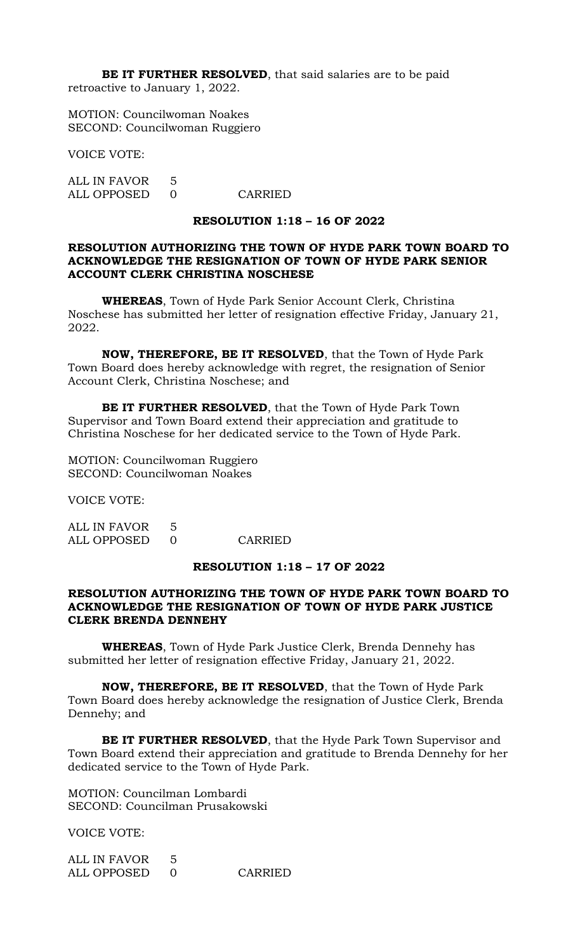**BE IT FURTHER RESOLVED**, that said salaries are to be paid retroactive to January 1, 2022.

MOTION: Councilwoman Noakes SECOND: Councilwoman Ruggiero

VOICE VOTE:

ALL IN FAVOR 5 ALL OPPOSED 0 CARRIED

## **RESOLUTION 1:18 – 16 OF 2022**

## **RESOLUTION AUTHORIZING THE TOWN OF HYDE PARK TOWN BOARD TO ACKNOWLEDGE THE RESIGNATION OF TOWN OF HYDE PARK SENIOR ACCOUNT CLERK CHRISTINA NOSCHESE**

**WHEREAS**, Town of Hyde Park Senior Account Clerk, Christina Noschese has submitted her letter of resignation effective Friday, January 21, 2022.

**NOW, THEREFORE, BE IT RESOLVED**, that the Town of Hyde Park Town Board does hereby acknowledge with regret, the resignation of Senior Account Clerk, Christina Noschese; and

**BE IT FURTHER RESOLVED**, that the Town of Hyde Park Town Supervisor and Town Board extend their appreciation and gratitude to Christina Noschese for her dedicated service to the Town of Hyde Park.

MOTION: Councilwoman Ruggiero SECOND: Councilwoman Noakes

VOICE VOTE:

ALL IN FAVOR 5 ALL OPPOSED 0 CARRIED

# **RESOLUTION 1:18 – 17 OF 2022**

## **RESOLUTION AUTHORIZING THE TOWN OF HYDE PARK TOWN BOARD TO ACKNOWLEDGE THE RESIGNATION OF TOWN OF HYDE PARK JUSTICE CLERK BRENDA DENNEHY**

**WHEREAS**, Town of Hyde Park Justice Clerk, Brenda Dennehy has submitted her letter of resignation effective Friday, January 21, 2022.

**NOW, THEREFORE, BE IT RESOLVED**, that the Town of Hyde Park Town Board does hereby acknowledge the resignation of Justice Clerk, Brenda Dennehy; and

**BE IT FURTHER RESOLVED**, that the Hyde Park Town Supervisor and Town Board extend their appreciation and gratitude to Brenda Dennehy for her dedicated service to the Town of Hyde Park.

MOTION: Councilman Lombardi SECOND: Councilman Prusakowski

VOICE VOTE:

| ALL IN FAVOR |         |
|--------------|---------|
| ALL OPPOSED  | CARRIED |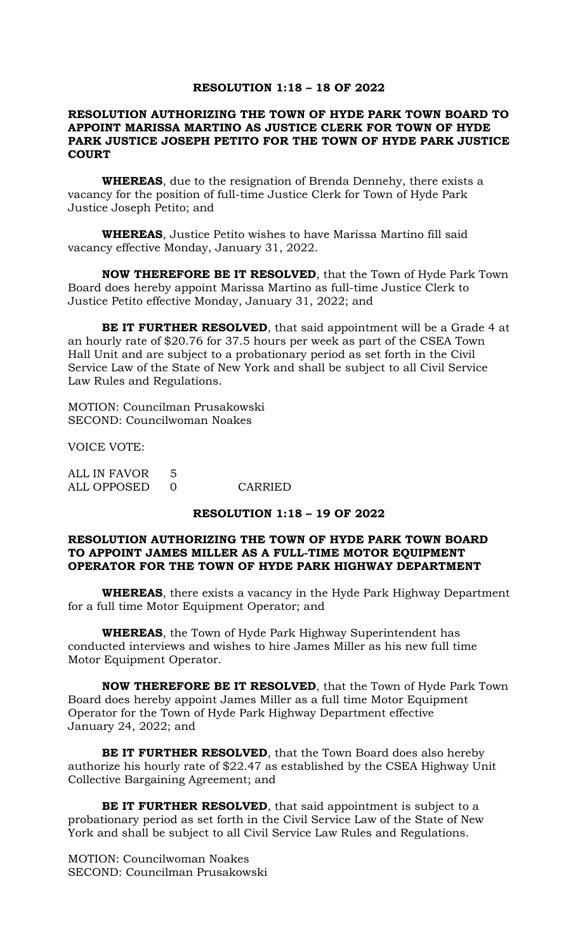## **RESOLUTION 1:18 – 18 OF 2022**

## **RESOLUTION AUTHORIZING THE TOWN OF HYDE PARK TOWN BOARD TO APPOINT MARISSA MARTINO AS JUSTICE CLERK FOR TOWN OF HYDE PARK JUSTICE JOSEPH PETITO FOR THE TOWN OF HYDE PARK JUSTICE COURT**

**WHEREAS**, due to the resignation of Brenda Dennehy, there exists a vacancy for the position of full-time Justice Clerk for Town of Hyde Park Justice Joseph Petito; and

**WHEREAS**, Justice Petito wishes to have Marissa Martino fill said vacancy effective Monday, January 31, 2022.

**NOW THEREFORE BE IT RESOLVED**, that the Town of Hyde Park Town Board does hereby appoint Marissa Martino as full-time Justice Clerk to Justice Petito effective Monday, January 31, 2022; and

**BE IT FURTHER RESOLVED**, that said appointment will be a Grade 4 at an hourly rate of \$20.76 for 37.5 hours per week as part of the CSEA Town Hall Unit and are subject to a probationary period as set forth in the Civil Service Law of the State of New York and shall be subject to all Civil Service Law Rules and Regulations.

MOTION: Councilman Prusakowski SECOND: Councilwoman Noakes

VOICE VOTE:

| ALL IN FAVOR |         |
|--------------|---------|
| ALL OPPOSED  | CARRIED |

# **RESOLUTION 1:18 – 19 OF 2022**

## **RESOLUTION AUTHORIZING THE TOWN OF HYDE PARK TOWN BOARD TO APPOINT JAMES MILLER AS A FULL-TIME MOTOR EQUIPMENT OPERATOR FOR THE TOWN OF HYDE PARK HIGHWAY DEPARTMENT**

**WHEREAS**, there exists a vacancy in the Hyde Park Highway Department for a full time Motor Equipment Operator; and

**WHEREAS**, the Town of Hyde Park Highway Superintendent has conducted interviews and wishes to hire James Miller as his new full time Motor Equipment Operator.

**NOW THEREFORE BE IT RESOLVED**, that the Town of Hyde Park Town Board does hereby appoint James Miller as a full time Motor Equipment Operator for the Town of Hyde Park Highway Department effective January 24, 2022; and

**BE IT FURTHER RESOLVED**, that the Town Board does also hereby authorize his hourly rate of \$22.47 as established by the CSEA Highway Unit Collective Bargaining Agreement; and

**BE IT FURTHER RESOLVED**, that said appointment is subject to a probationary period as set forth in the Civil Service Law of the State of New York and shall be subject to all Civil Service Law Rules and Regulations.

MOTION: Councilwoman Noakes SECOND: Councilman Prusakowski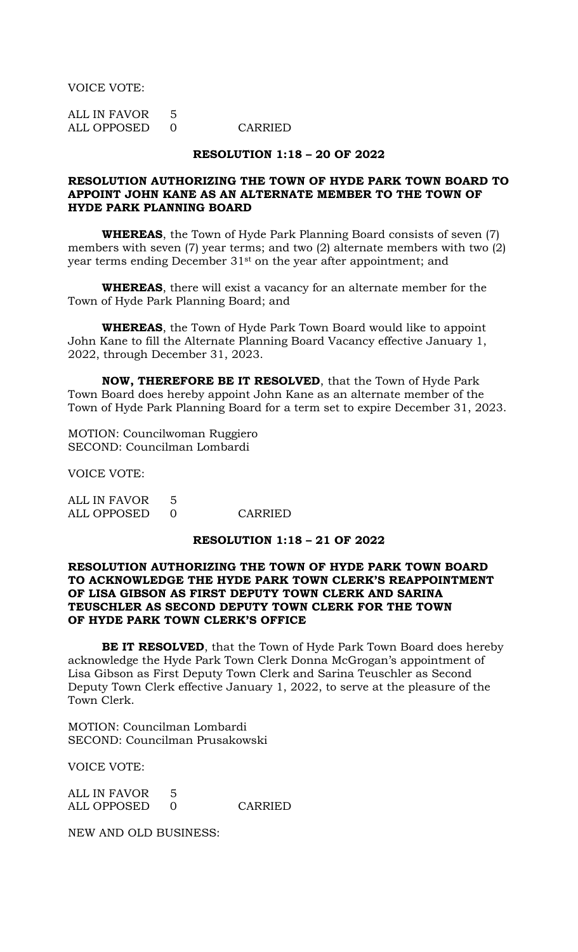VOICE VOTE:

ALL IN FAVOR 5 ALL OPPOSED 0 CARRIED

# **RESOLUTION 1:18 – 20 OF 2022**

# **RESOLUTION AUTHORIZING THE TOWN OF HYDE PARK TOWN BOARD TO APPOINT JOHN KANE AS AN ALTERNATE MEMBER TO THE TOWN OF HYDE PARK PLANNING BOARD**

**WHEREAS**, the Town of Hyde Park Planning Board consists of seven (7) members with seven (7) year terms; and two (2) alternate members with two (2) year terms ending December 31st on the year after appointment; and

**WHEREAS**, there will exist a vacancy for an alternate member for the Town of Hyde Park Planning Board; and

**WHEREAS**, the Town of Hyde Park Town Board would like to appoint John Kane to fill the Alternate Planning Board Vacancy effective January 1, 2022, through December 31, 2023.

**NOW, THEREFORE BE IT RESOLVED**, that the Town of Hyde Park Town Board does hereby appoint John Kane as an alternate member of the Town of Hyde Park Planning Board for a term set to expire December 31, 2023.

MOTION: Councilwoman Ruggiero SECOND: Councilman Lombardi

VOICE VOTE:

ALL IN FAVOR 5 ALL OPPOSED 0 CARRIED

## **RESOLUTION 1:18 – 21 OF 2022**

# **RESOLUTION AUTHORIZING THE TOWN OF HYDE PARK TOWN BOARD TO ACKNOWLEDGE THE HYDE PARK TOWN CLERK'S REAPPOINTMENT OF LISA GIBSON AS FIRST DEPUTY TOWN CLERK AND SARINA TEUSCHLER AS SECOND DEPUTY TOWN CLERK FOR THE TOWN OF HYDE PARK TOWN CLERK'S OFFICE**

**BE IT RESOLVED**, that the Town of Hyde Park Town Board does hereby acknowledge the Hyde Park Town Clerk Donna McGrogan's appointment of Lisa Gibson as First Deputy Town Clerk and Sarina Teuschler as Second Deputy Town Clerk effective January 1, 2022, to serve at the pleasure of the Town Clerk.

MOTION: Councilman Lombardi SECOND: Councilman Prusakowski

VOICE VOTE:

ALL IN FAVOR 5 ALL OPPOSED 0 CARRIED

NEW AND OLD BUSINESS: